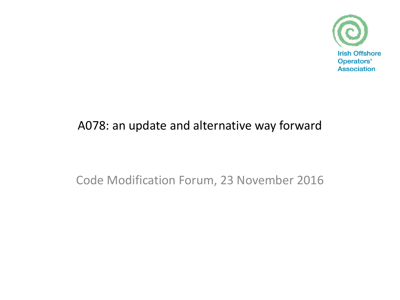

## A078: an update and alternative way forward

Code Modification Forum, 23 November 2016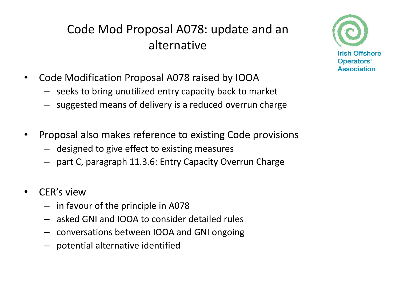## Code Mod Proposal A078: update and an alternative

- Code Modification Proposal A078 raised by IOOA
	- seeks to bring unutilized entry capacity back to market
	- suggested means of delivery is a reduced overrun charge
- Proposal also makes reference to existing Code provisions
	- designed to give effect to existing measures
	- part C, paragraph 11.3.6: Entry Capacity Overrun Charge
- CER's view
	- in favour of the principle in A078
	- asked GNI and IOOA to consider detailed rules
	- conversations between IOOA and GNI ongoing
	- potential alternative identified

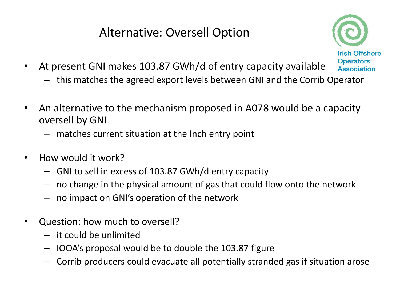## Alternative: Oversell Option



- At present GNI makes 103.87 GWh/d of entry capacity available
	- this matches the agreed export levels between GNI and the Corrib Operator
- An alternative to the mechanism proposed in A078 would be a capacity oversell by GNI
	- matches current situation at the Inch entry point
- How would it work?
	- GNI to sell in excess of 103.87 GWh/d entry capacity
	- no change in the physical amount of gas that could flow onto the network
	- no impact on GNI's operation of the network
- Question: how much to oversell?
	- it could be unlimited
	- IOOA's proposal would be to double the 103.87 figure
	- Corrib producers could evacuate all potentially stranded gas if situation arose